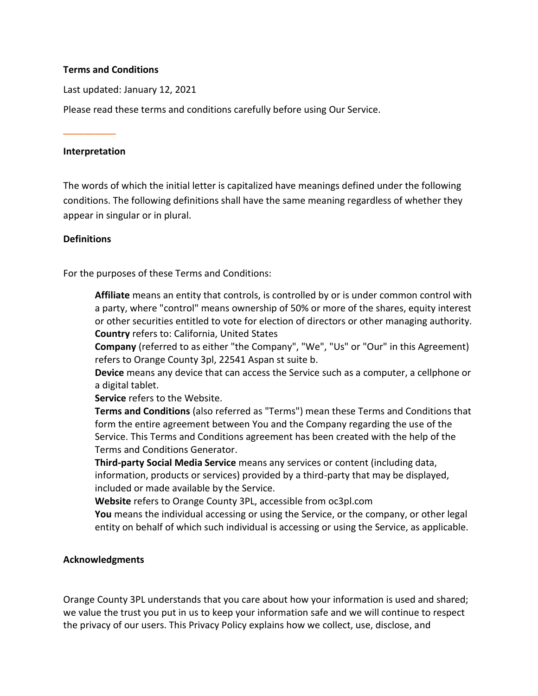### **Terms and Conditions**

Last updated: January 12, 2021

Please read these terms and conditions carefully before using Our Service.

**\_\_\_\_\_\_\_\_\_\_**

## **Interpretation**

The words of which the initial letter is capitalized have meanings defined under the following conditions. The following definitions shall have the same meaning regardless of whether they appear in singular or in plural.

### **Definitions**

For the purposes of these Terms and Conditions:

**Affiliate** means an entity that controls, is controlled by or is under common control with a party, where "control" means ownership of 50% or more of the shares, equity interest or other securities entitled to vote for election of directors or other managing authority. **Country** refers to: California, United States

**Company** (referred to as either "the Company", "We", "Us" or "Our" in this Agreement) refers to Orange County 3pl, 22541 Aspan st suite b.

**Device** means any device that can access the Service such as a computer, a cellphone or a digital tablet.

**Service** refers to the Website.

**Terms and Conditions** (also referred as "Terms") mean these Terms and Conditions that form the entire agreement between You and the Company regarding the use of the Service. This Terms and Conditions agreement has been created with the help of the [Terms and Conditions Generator.](https://www.privacypolicies.com/terms-conditions-generator/)

**Third-party Social Media Service** means any services or content (including data, information, products or services) provided by a third-party that may be displayed, included or made available by the Service.

**Website** refers to Orange County 3PL, accessible fro[m oc3pl.com](oc3pl.com)

**You** means the individual accessing or using the Service, or the company, or other legal entity on behalf of which such individual is accessing or using the Service, as applicable.

## **Acknowledgments**

Orange County 3PL understands that you care about how your information is used and shared; we value the trust you put in us to keep your information safe and we will continue to respect the privacy of our users. This Privacy Policy explains how we collect, use, disclose, and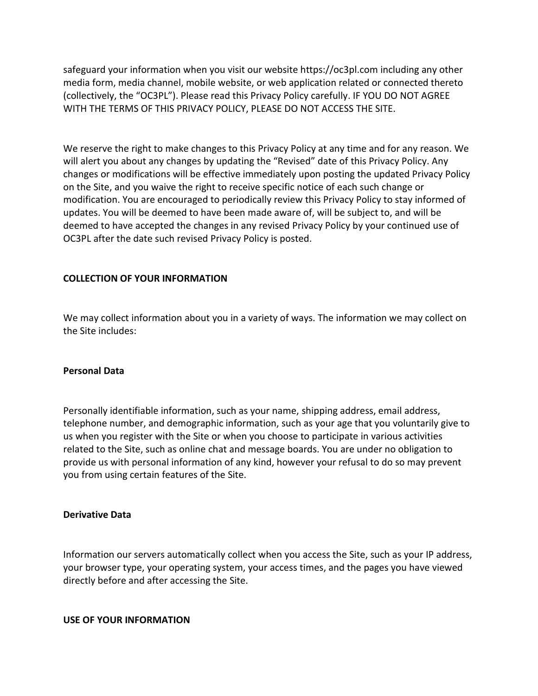safeguard your information when you visit our website https://oc3pl.com including any other media form, media channel, mobile website, or web application related or connected thereto (collectively, the "OC3PL"). Please read this Privacy Policy carefully. IF YOU DO NOT AGREE WITH THE TERMS OF THIS PRIVACY POLICY, PLEASE DO NOT ACCESS THE SITE.

We reserve the right to make changes to this Privacy Policy at any time and for any reason. We will alert you about any changes by updating the "Revised" date of this Privacy Policy. Any changes or modifications will be effective immediately upon posting the updated Privacy Policy on the Site, and you waive the right to receive specific notice of each such change or modification. You are encouraged to periodically review this Privacy Policy to stay informed of updates. You will be deemed to have been made aware of, will be subject to, and will be deemed to have accepted the changes in any revised Privacy Policy by your continued use of OC3PL after the date such revised Privacy Policy is posted.

## **COLLECTION OF YOUR INFORMATION**

We may collect information about you in a variety of ways. The information we may collect on the Site includes:

#### **Personal Data**

Personally identifiable information, such as your name, shipping address, email address, telephone number, and demographic information, such as your age that you voluntarily give to us when you register with the Site or when you choose to participate in various activities related to the Site, such as online chat and message boards. You are under no obligation to provide us with personal information of any kind, however your refusal to do so may prevent you from using certain features of the Site.

#### **Derivative Data**

Information our servers automatically collect when you access the Site, such as your IP address, your browser type, your operating system, your access times, and the pages you have viewed directly before and after accessing the Site.

#### **USE OF YOUR INFORMATION**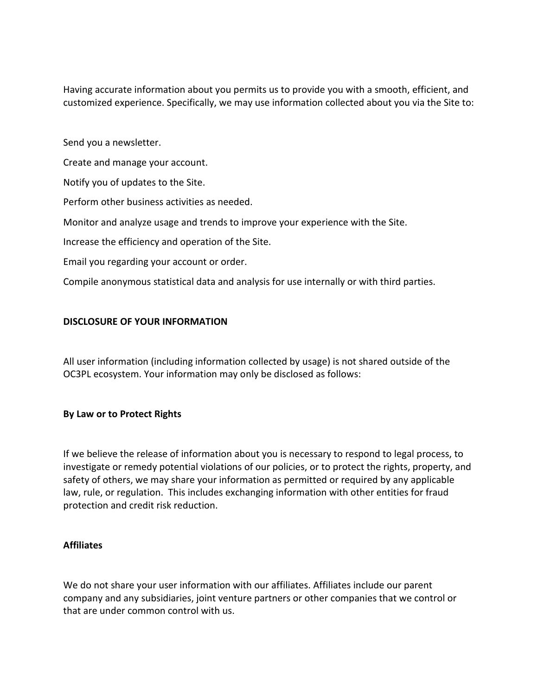Having accurate information about you permits us to provide you with a smooth, efficient, and customized experience. Specifically, we may use information collected about you via the Site to:

Send you a newsletter.

Create and manage your account.

Notify you of updates to the Site.

Perform other business activities as needed.

Monitor and analyze usage and trends to improve your experience with the Site.

Increase the efficiency and operation of the Site.

Email you regarding your account or order.

Compile anonymous statistical data and analysis for use internally or with third parties.

### **DISCLOSURE OF YOUR INFORMATION**

All user information (including information collected by usage) is not shared outside of the OC3PL ecosystem. Your information may only be disclosed as follows:

#### **By Law or to Protect Rights**

If we believe the release of information about you is necessary to respond to legal process, to investigate or remedy potential violations of our policies, or to protect the rights, property, and safety of others, we may share your information as permitted or required by any applicable law, rule, or regulation. This includes exchanging information with other entities for fraud protection and credit risk reduction.

#### **Affiliates**

We do not share your user information with our affiliates. Affiliates include our parent company and any subsidiaries, joint venture partners or other companies that we control or that are under common control with us.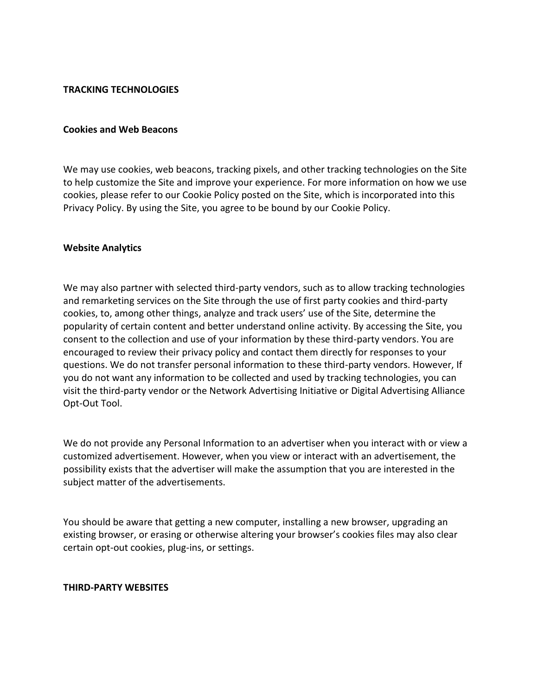### **TRACKING TECHNOLOGIES**

#### **Cookies and Web Beacons**

We may use cookies, web beacons, tracking pixels, and other tracking technologies on the Site to help customize the Site and improve your experience. For more information on how we use cookies, please refer to our Cookie Policy posted on the Site, which is incorporated into this Privacy Policy. By using the Site, you agree to be bound by our Cookie Policy.

#### **Website Analytics**

We may also partner with selected third-party vendors, such as to allow tracking technologies and remarketing services on the Site through the use of first party cookies and third-party cookies, to, among other things, analyze and track users' use of the Site, determine the popularity of certain content and better understand online activity. By accessing the Site, you consent to the collection and use of your information by these third-party vendors. You are encouraged to review their privacy policy and contact them directly for responses to your questions. We do not transfer personal information to these third-party vendors. However, If you do not want any information to be collected and used by tracking technologies, you can visit the third-party vendor or the Network Advertising Initiative or Digital Advertising Alliance Opt-Out Tool.

We do not provide any Personal Information to an advertiser when you interact with or view a customized advertisement. However, when you view or interact with an advertisement, the possibility exists that the advertiser will make the assumption that you are interested in the subject matter of the advertisements.

You should be aware that getting a new computer, installing a new browser, upgrading an existing browser, or erasing or otherwise altering your browser's cookies files may also clear certain opt-out cookies, plug-ins, or settings.

#### **THIRD-PARTY WEBSITES**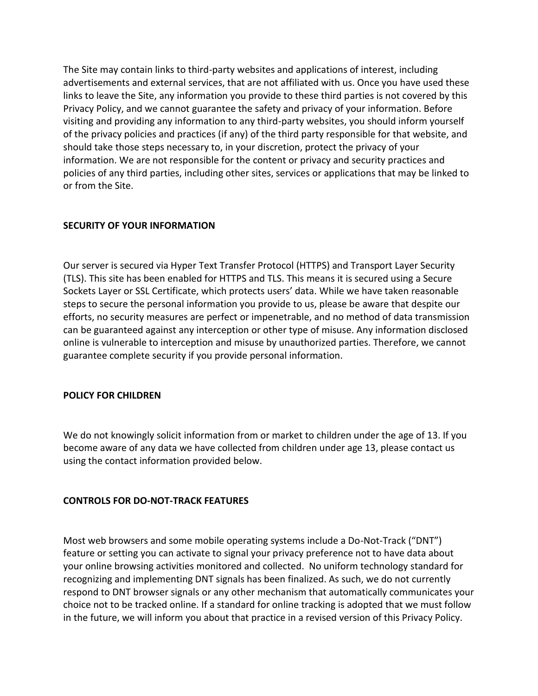The Site may contain links to third-party websites and applications of interest, including advertisements and external services, that are not affiliated with us. Once you have used these links to leave the Site, any information you provide to these third parties is not covered by this Privacy Policy, and we cannot guarantee the safety and privacy of your information. Before visiting and providing any information to any third-party websites, you should inform yourself of the privacy policies and practices (if any) of the third party responsible for that website, and should take those steps necessary to, in your discretion, protect the privacy of your information. We are not responsible for the content or privacy and security practices and policies of any third parties, including other sites, services or applications that may be linked to or from the Site.

# **SECURITY OF YOUR INFORMATION**

Our server is secured via Hyper Text Transfer Protocol (HTTPS) and Transport Layer Security (TLS). This site has been enabled for HTTPS and TLS. This means it is secured using a Secure Sockets Layer or SSL Certificate, which protects users' data. While we have taken reasonable steps to secure the personal information you provide to us, please be aware that despite our efforts, no security measures are perfect or impenetrable, and no method of data transmission can be guaranteed against any interception or other type of misuse. Any information disclosed online is vulnerable to interception and misuse by unauthorized parties. Therefore, we cannot guarantee complete security if you provide personal information.

## **POLICY FOR CHILDREN**

We do not knowingly solicit information from or market to children under the age of 13. If you become aware of any data we have collected from children under age 13, please contact us using the contact information provided below.

## **CONTROLS FOR DO-NOT-TRACK FEATURES**

Most web browsers and some mobile operating systems include a Do-Not-Track ("DNT") feature or setting you can activate to signal your privacy preference not to have data about your online browsing activities monitored and collected. No uniform technology standard for recognizing and implementing DNT signals has been finalized. As such, we do not currently respond to DNT browser signals or any other mechanism that automatically communicates your choice not to be tracked online. If a standard for online tracking is adopted that we must follow in the future, we will inform you about that practice in a revised version of this Privacy Policy.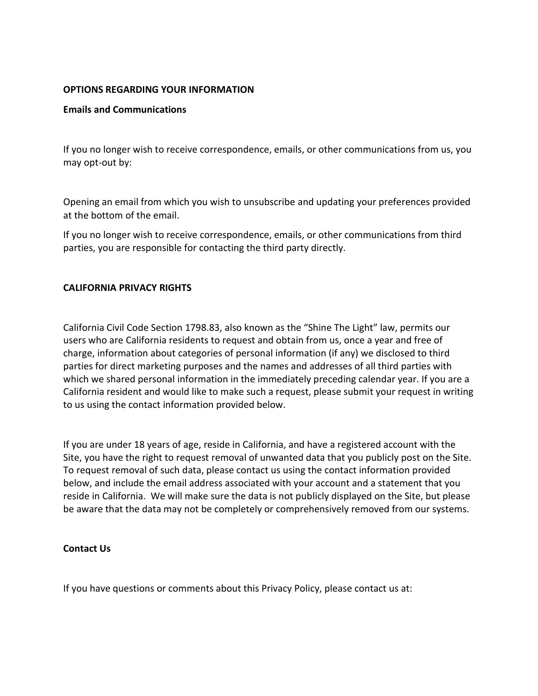### **OPTIONS REGARDING YOUR INFORMATION**

### **Emails and Communications**

If you no longer wish to receive correspondence, emails, or other communications from us, you may opt-out by:

Opening an email from which you wish to unsubscribe and updating your preferences provided at the bottom of the email.

If you no longer wish to receive correspondence, emails, or other communications from third parties, you are responsible for contacting the third party directly.

### **CALIFORNIA PRIVACY RIGHTS**

California Civil Code Section 1798.83, also known as the "Shine The Light" law, permits our users who are California residents to request and obtain from us, once a year and free of charge, information about categories of personal information (if any) we disclosed to third parties for direct marketing purposes and the names and addresses of all third parties with which we shared personal information in the immediately preceding calendar year. If you are a California resident and would like to make such a request, please submit your request in writing to us using the contact information provided below.

If you are under 18 years of age, reside in California, and have a registered account with the Site, you have the right to request removal of unwanted data that you publicly post on the Site. To request removal of such data, please contact us using the contact information provided below, and include the email address associated with your account and a statement that you reside in California. We will make sure the data is not publicly displayed on the Site, but please be aware that the data may not be completely or comprehensively removed from our systems.

## **Contact Us**

If you have questions or comments about this Privacy Policy, please contact us at: